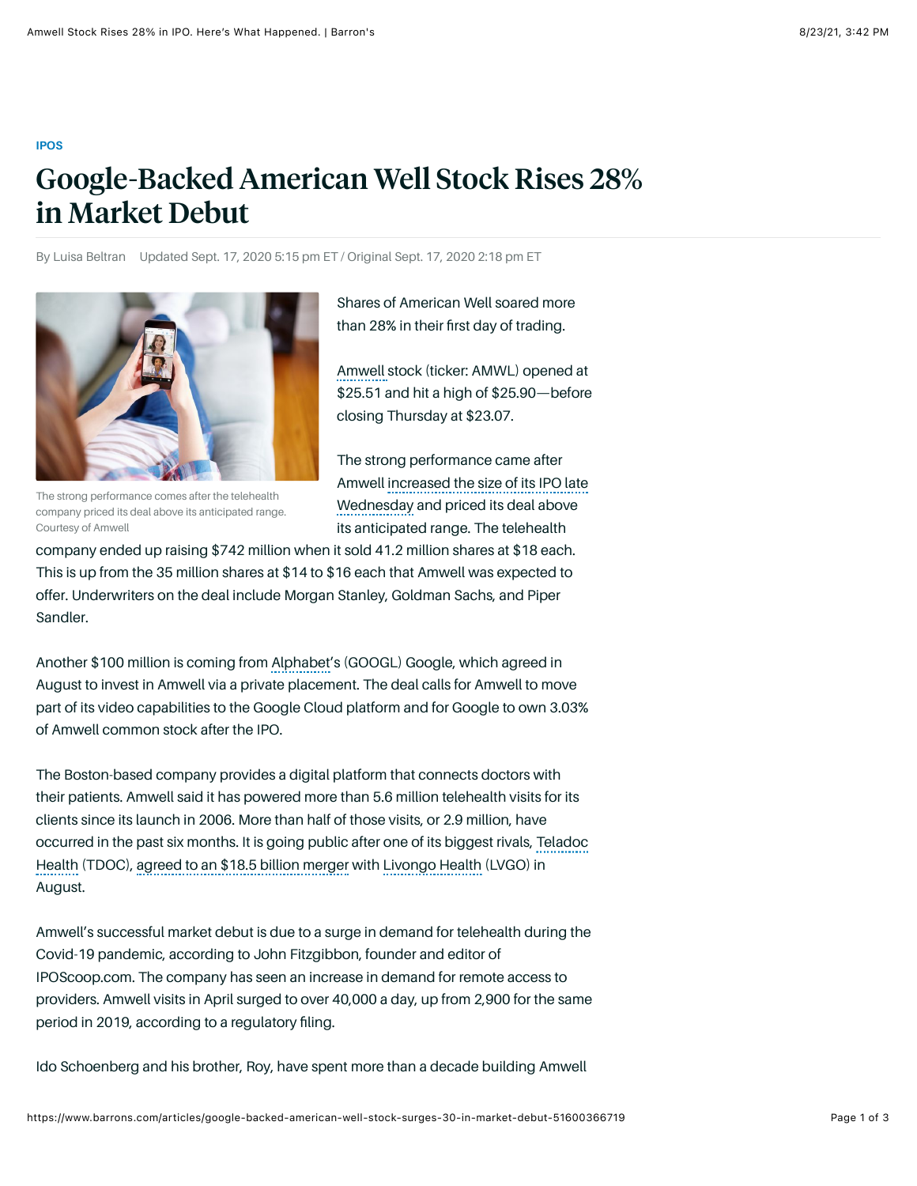## **[IPOS](https://www.barrons.com/topics/ipos?mod=article_flashline)**

## Google-Backed American Well Stock Rises 28% in Market Debut

By Luisa Beltran Updated Sept. 17, 2020 5:15 pm ET / Original Sept. 17, 2020 2:18 pm ET



The strong performance comes after the telehealth company priced its deal above its anticipated range. Courtesy of Amwell

Shares of American Well soared more than 28% in their first day of trading.

[Amwell s](https://www.barrons.com/quote/AMWL)tock (ticker: AMWL) opened at \$25.51 and hit a high of \$25.90—before closing Thursday at \$23.07.

The strong performance came after [Amwell increased the size of its IPO late](https://www.barrons.com/articles/google-backed-amwell-to-go-public-thursday-51600297207?mod=hp_DAY_Theme_1_3&mod=article_inline) Wednesday and priced its deal above its anticipated range. The telehealth

company ended up raising \$742 million when it sold 41.2 million shares at \$18 each. This is up from the 35 million shares at \$14 to \$16 each that Amwell was expected to offer. Underwriters on the deal include Morgan Stanley, Goldman Sachs, and Piper Sandler.

Another \$100 million is coming from [Alphabet'](https://www.barrons.com/quote/GOOG)s (GOOGL) Google, which agreed in August to invest in Amwell via a private placement. The deal calls for Amwell to move part of its video capabilities to the Google Cloud platform and for Google to own 3.03% of Amwell common stock after the IPO.

The Boston-based company provides a digital platform that connects doctors with their patients. Amwell said it has powered more than 5.6 million telehealth visits for its clients since its launch in 2006. More than half of those visits, or 2.9 million, have [occurred in the past six months. It is going public after one of its biggest rivals, Teladoc](https://www.barrons.com/quote/TDOC) Health (TDOC), [agreed to an \\$18.5 billion merger](https://www.barrons.com/articles/teladoc-health-livongo-health-merger-51596642831?mod=article_inline) with [Livongo Health](https://www.barrons.com/quote/stock/LVGO) (LVGO) in August.

Amwell's successful market debut is due to a surge in demand for telehealth during the Covid-19 pandemic, according to John Fitzgibbon, founder and editor of IPOScoop.com. The company has seen an increase in demand for remote access to providers. Amwell visits in April surged to over 40,000 a day, up from 2,900 for the same period in 2019, according to a regulatory filing.

Ido Schoenberg and his brother, Roy, have spent more than a decade building Amwell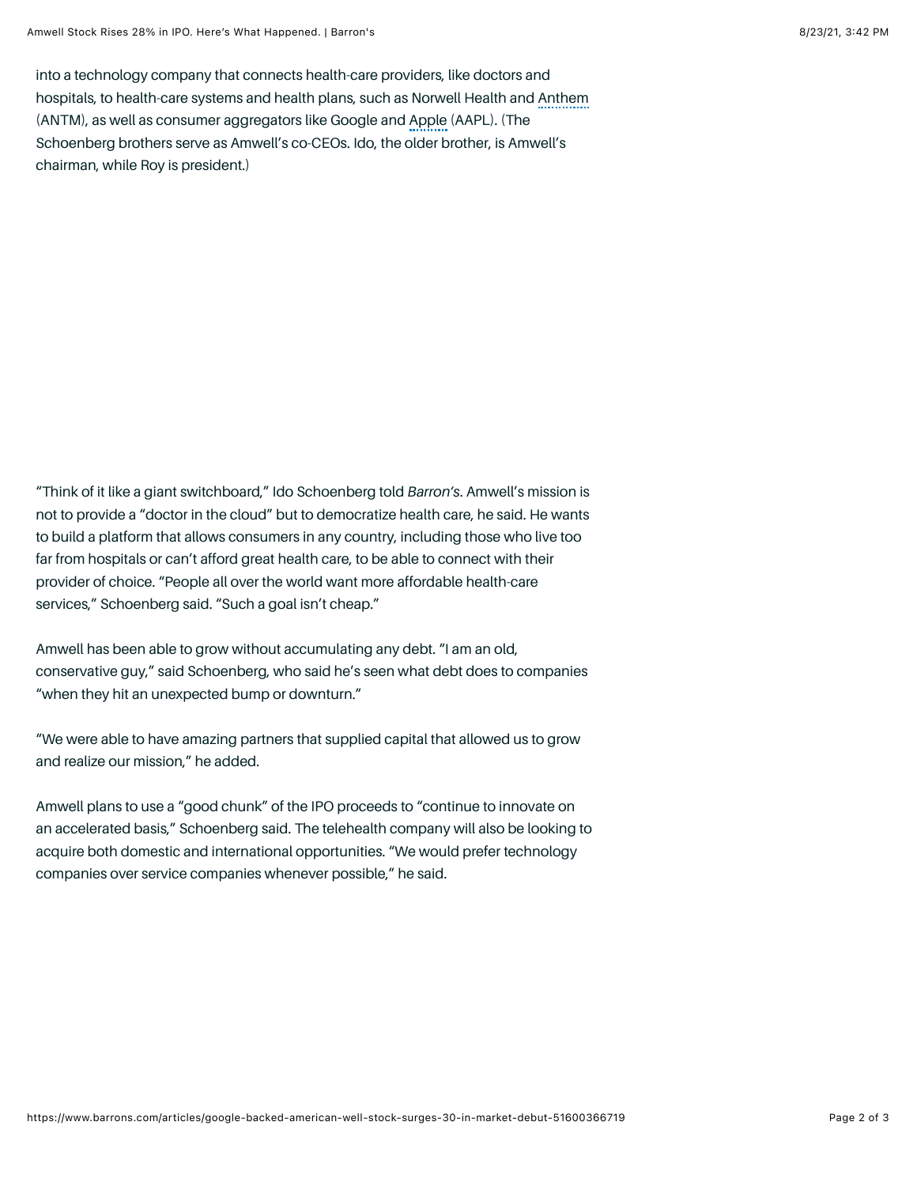into a technology company that connects health-care providers, like doctors and hospitals, to health-care systems and health plans, such as Norwell Health and [Anthem](https://www.barrons.com/quote/ANTM) (ANTM), as well as consumer aggregators like Google and [Apple](https://www.barrons.com/quote/AAPL) (AAPL). (The Schoenberg brothers serve as Amwell's co-CEOs. Ido, the older brother, is Amwell's chairman, while Roy is president.)

"Think of it like a giant switchboard," Ido Schoenberg told *Barron's*. Amwell's mission is not to provide a "doctor in the cloud" but to democratize health care, he said. He wants to build a platform that allows consumers in any country, including those who live too far from hospitals or can't afford great health care, to be able to connect with their provider of choice. "People all over the world want more affordable health-care services," Schoenberg said. "Such a goal isn't cheap."

Amwell has been able to grow without accumulating any debt. "I am an old, conservative guy," said Schoenberg, who said he's seen what debt does to companies "when they hit an unexpected bump or downturn."

"We were able to have amazing partners that supplied capital that allowed us to grow and realize our mission," he added.

Amwell plans to use a "good chunk" of the IPO proceeds to "continue to innovate on an accelerated basis," Schoenberg said. The telehealth company will also be looking to acquire both domestic and international opportunities. "We would prefer technology companies over service companies whenever possible," he said.